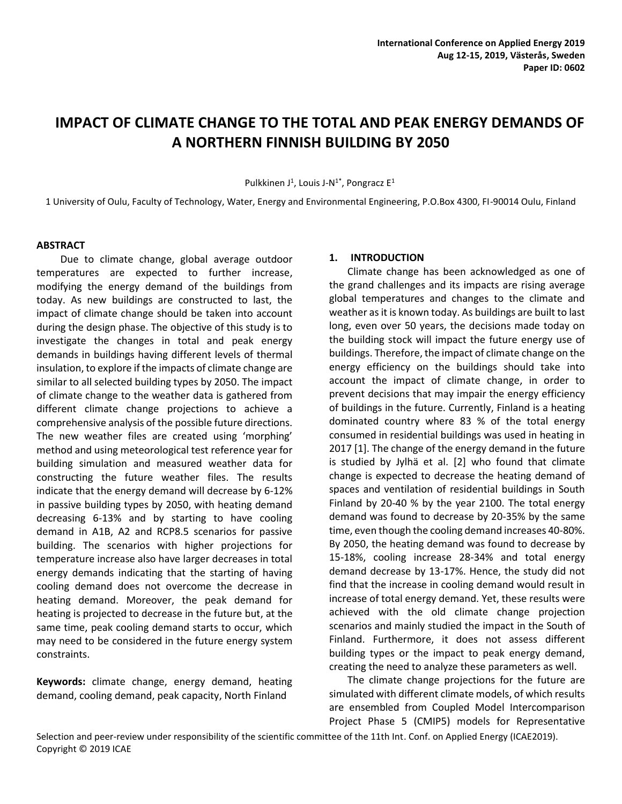# **IMPACT OF CLIMATE CHANGE TO THE TOTAL AND PEAK ENERGY DEMANDS OF A NORTHERN FINNISH BUILDING BY 2050**

Pulkkinen J<sup>1</sup>, Louis J-N<sup>1\*</sup>, Pongracz E<sup>1</sup>

1 University of Oulu, Faculty of Technology, Water, Energy and Environmental Engineering, P.O.Box 4300, FI-90014 Oulu, Finland

#### **ABSTRACT**

Due to climate change, global average outdoor temperatures are expected to further increase, modifying the energy demand of the buildings from today. As new buildings are constructed to last, the impact of climate change should be taken into account during the design phase. The objective of this study is to investigate the changes in total and peak energy demands in buildings having different levels of thermal insulation, to explore if the impacts of climate change are similar to all selected building types by 2050. The impact of climate change to the weather data is gathered from different climate change projections to achieve a comprehensive analysis of the possible future directions. The new weather files are created using 'morphing' method and using meteorological test reference year for building simulation and measured weather data for constructing the future weather files. The results indicate that the energy demand will decrease by 6-12% in passive building types by 2050, with heating demand decreasing 6-13% and by starting to have cooling demand in A1B, A2 and RCP8.5 scenarios for passive building. The scenarios with higher projections for temperature increase also have larger decreases in total energy demands indicating that the starting of having cooling demand does not overcome the decrease in heating demand. Moreover, the peak demand for heating is projected to decrease in the future but, at the same time, peak cooling demand starts to occur, which may need to be considered in the future energy system constraints.

**Keywords:** climate change, energy demand, heating demand, cooling demand, peak capacity, North Finland

#### **1. INTRODUCTION**

Climate change has been acknowledged as one of the grand challenges and its impacts are rising average global temperatures and changes to the climate and weather as it is known today. As buildings are built to last long, even over 50 years, the decisions made today on the building stock will impact the future energy use of buildings. Therefore, the impact of climate change on the energy efficiency on the buildings should take into account the impact of climate change, in order to prevent decisions that may impair the energy efficiency of buildings in the future. Currently, Finland is a heating dominated country where 83 % of the total energy consumed in residential buildings was used in heating in 2017 [1]. The change of the energy demand in the future is studied by Jylhä et al. [2] who found that climate change is expected to decrease the heating demand of spaces and ventilation of residential buildings in South Finland by 20-40 % by the year 2100. The total energy demand was found to decrease by 20-35% by the same time, even though the cooling demand increases 40-80%. By 2050, the heating demand was found to decrease by 15-18%, cooling increase 28-34% and total energy demand decrease by 13-17%. Hence, the study did not find that the increase in cooling demand would result in increase of total energy demand. Yet, these results were achieved with the old climate change projection scenarios and mainly studied the impact in the South of Finland. Furthermore, it does not assess different building types or the impact to peak energy demand, creating the need to analyze these parameters as well.

The climate change projections for the future are simulated with different climate models, of which results are ensembled from Coupled Model Intercomparison Project Phase 5 (CMIP5) models for Representative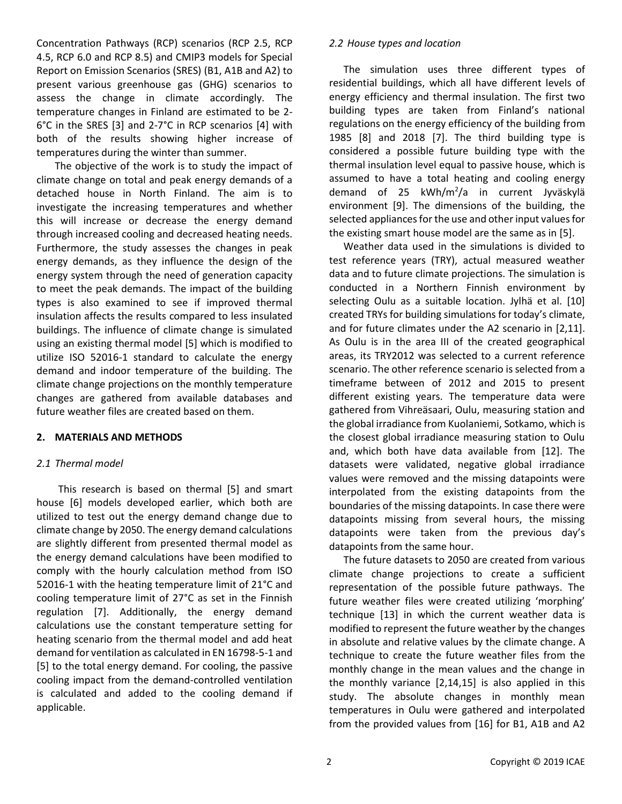Concentration Pathways (RCP) scenarios (RCP 2.5, RCP 4.5, RCP 6.0 and RCP 8.5) and CMIP3 models for Special Report on Emission Scenarios (SRES) (B1, A1B and A2) to present various greenhouse gas (GHG) scenarios to assess the change in climate accordingly. The temperature changes in Finland are estimated to be 2- 6°C in the SRES [3] and 2-7°C in RCP scenarios [4] with both of the results showing higher increase of temperatures during the winter than summer.

The objective of the work is to study the impact of climate change on total and peak energy demands of a detached house in North Finland. The aim is to investigate the increasing temperatures and whether this will increase or decrease the energy demand through increased cooling and decreased heating needs. Furthermore, the study assesses the changes in peak energy demands, as they influence the design of the energy system through the need of generation capacity to meet the peak demands. The impact of the building types is also examined to see if improved thermal insulation affects the results compared to less insulated buildings. The influence of climate change is simulated using an existing thermal model [5] which is modified to utilize ISO 52016-1 standard to calculate the energy demand and indoor temperature of the building. The climate change projections on the monthly temperature changes are gathered from available databases and future weather files are created based on them.

## **2. MATERIALS AND METHODS**

## *2.1 Thermal model*

This research is based on thermal [5] and smart house [6] models developed earlier, which both are utilized to test out the energy demand change due to climate change by 2050. The energy demand calculations are slightly different from presented thermal model as the energy demand calculations have been modified to comply with the hourly calculation method from ISO 52016-1 with the heating temperature limit of 21°C and cooling temperature limit of 27°C as set in the Finnish regulation [7]. Additionally, the energy demand calculations use the constant temperature setting for heating scenario from the thermal model and add heat demand for ventilation as calculated in EN 16798-5-1 and [5] to the total energy demand. For cooling, the passive cooling impact from the demand-controlled ventilation is calculated and added to the cooling demand if applicable.

#### *2.2 House types and location*

The simulation uses three different types of residential buildings, which all have different levels of energy efficiency and thermal insulation. The first two building types are taken from Finland's national regulations on the energy efficiency of the building from 1985 [8] and 2018 [7]. The third building type is considered a possible future building type with the thermal insulation level equal to passive house, which is assumed to have a total heating and cooling energy demand of 25 kWh/m<sup>2</sup>/a in current Jyväskylä environment [9]. The dimensions of the building, the selected appliances for the use and other input values for the existing smart house model are the same as in [5].

Weather data used in the simulations is divided to test reference years (TRY), actual measured weather data and to future climate projections. The simulation is conducted in a Northern Finnish environment by selecting Oulu as a suitable location. Jylhä et al. [10] created TRYs for building simulations for today's climate, and for future climates under the A2 scenario in [2,11]. As Oulu is in the area III of the created geographical areas, its TRY2012 was selected to a current reference scenario. The other reference scenario is selected from a timeframe between of 2012 and 2015 to present different existing years. The temperature data were gathered from Vihreäsaari, Oulu, measuring station and the global irradiance from Kuolaniemi, Sotkamo, which is the closest global irradiance measuring station to Oulu and, which both have data available from [12]. The datasets were validated, negative global irradiance values were removed and the missing datapoints were interpolated from the existing datapoints from the boundaries of the missing datapoints. In case there were datapoints missing from several hours, the missing datapoints were taken from the previous day's datapoints from the same hour.

The future datasets to 2050 are created from various climate change projections to create a sufficient representation of the possible future pathways. The future weather files were created utilizing 'morphing' technique [13] in which the current weather data is modified to represent the future weather by the changes in absolute and relative values by the climate change. A technique to create the future weather files from the monthly change in the mean values and the change in the monthly variance [2,14,15] is also applied in this study. The absolute changes in monthly mean temperatures in Oulu were gathered and interpolated from the provided values from [16] for B1, A1B and A2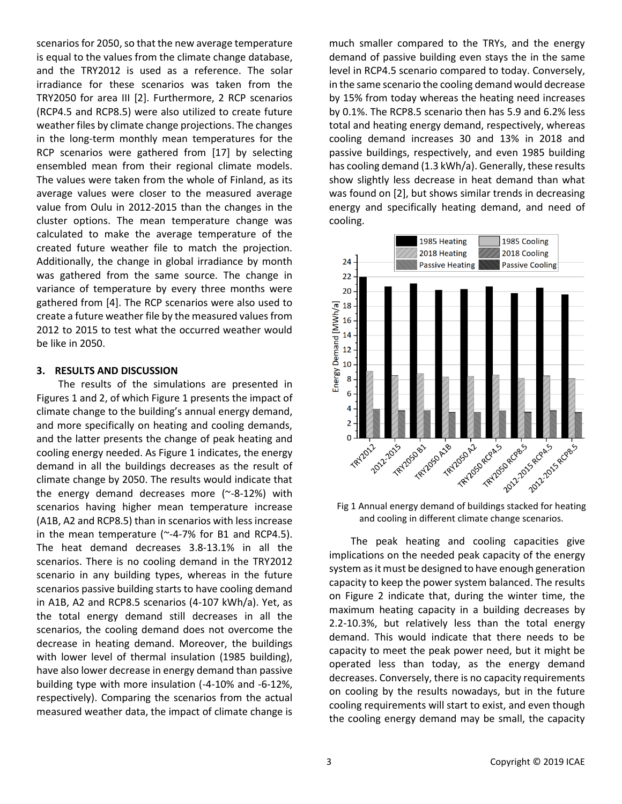scenarios for 2050, so that the new average temperature is equal to the values from the climate change database, and the TRY2012 is used as a reference. The solar irradiance for these scenarios was taken from the TRY2050 for area III [2]. Furthermore, 2 RCP scenarios (RCP4.5 and RCP8.5) were also utilized to create future weather files by climate change projections. The changes in the long-term monthly mean temperatures for the RCP scenarios were gathered from [17] by selecting ensembled mean from their regional climate models. The values were taken from the whole of Finland, as its average values were closer to the measured average value from Oulu in 2012-2015 than the changes in the cluster options. The mean temperature change was calculated to make the average temperature of the created future weather file to match the projection. Additionally, the change in global irradiance by month was gathered from the same source. The change in variance of temperature by every three months were gathered from [4]. The RCP scenarios were also used to create a future weather file by the measured values from 2012 to 2015 to test what the occurred weather would be like in 2050.

#### **3. RESULTS AND DISCUSSION**

The results of the simulations are presented in Figures 1 and 2, of which Figure 1 presents the impact of climate change to the building's annual energy demand, and more specifically on heating and cooling demands, and the latter presents the change of peak heating and cooling energy needed. As Figure 1 indicates, the energy demand in all the buildings decreases as the result of climate change by 2050. The results would indicate that the energy demand decreases more  $($ ~8-12%) with scenarios having higher mean temperature increase (A1B, A2 and RCP8.5) than in scenarios with less increase in the mean temperature ( $\sim$ -4-7% for B1 and RCP4.5). The heat demand decreases 3.8-13.1% in all the scenarios. There is no cooling demand in the TRY2012 scenario in any building types, whereas in the future scenarios passive building starts to have cooling demand in A1B, A2 and RCP8.5 scenarios (4-107 kWh/a). Yet, as the total energy demand still decreases in all the scenarios, the cooling demand does not overcome the decrease in heating demand. Moreover, the buildings with lower level of thermal insulation (1985 building), have also lower decrease in energy demand than passive building type with more insulation (-4-10% and -6-12%, respectively). Comparing the scenarios from the actual measured weather data, the impact of climate change is much smaller compared to the TRYs, and the energy demand of passive building even stays the in the same level in RCP4.5 scenario compared to today. Conversely, in the same scenario the cooling demand would decrease by 15% from today whereas the heating need increases by 0.1%. The RCP8.5 scenario then has 5.9 and 6.2% less total and heating energy demand, respectively, whereas cooling demand increases 30 and 13% in 2018 and passive buildings, respectively, and even 1985 building has cooling demand (1.3 kWh/a). Generally, these results show slightly less decrease in heat demand than what was found on [2], but shows similar trends in decreasing energy and specifically heating demand, and need of cooling.



Fig 1 Annual energy demand of buildings stacked for heating and cooling in different climate change scenarios.

The peak heating and cooling capacities give implications on the needed peak capacity of the energy system as it must be designed to have enough generation capacity to keep the power system balanced. The results on Figure 2 indicate that, during the winter time, the maximum heating capacity in a building decreases by 2.2-10.3%, but relatively less than the total energy demand. This would indicate that there needs to be capacity to meet the peak power need, but it might be operated less than today, as the energy demand decreases. Conversely, there is no capacity requirements on cooling by the results nowadays, but in the future cooling requirements will start to exist, and even though the cooling energy demand may be small, the capacity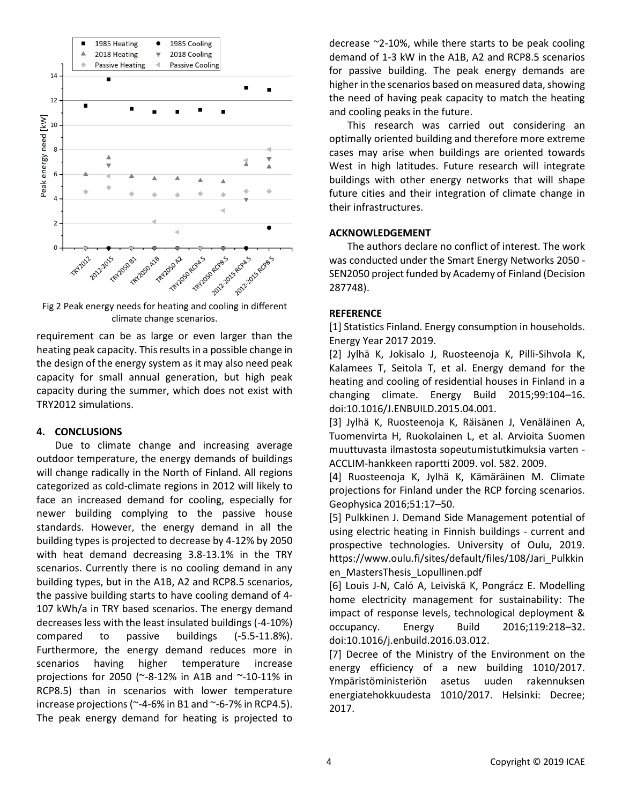

climate change scenarios.

requirement can be as large or even larger than the heating peak capacity. This results in a possible change in the design of the energy system as it may also need peak capacity for small annual generation, but high peak capacity during the summer, which does not exist with TRY2012 simulations.

#### **4. CONCLUSIONS**

Due to climate change and increasing average outdoor temperature, the energy demands of buildings will change radically in the North of Finland. All regions categorized as cold-climate regions in 2012 will likely to face an increased demand for cooling, especially for newer building complying to the passive house standards. However, the energy demand in all the building types is projected to decrease by 4-12% by 2050 with heat demand decreasing 3.8-13.1% in the TRY scenarios. Currently there is no cooling demand in any building types, but in the A1B, A2 and RCP8.5 scenarios, the passive building starts to have cooling demand of 4- 107 kWh/a in TRY based scenarios. The energy demand decreases less with the least insulated buildings (-4-10%) compared to passive buildings (-5.5-11.8%). Furthermore, the energy demand reduces more in scenarios having higher temperature increase projections for 2050 (~-8-12% in A1B and ~-10-11% in RCP8.5) than in scenarios with lower temperature increase projections ( $\sim$ -4-6% in B1 and  $\sim$ -6-7% in RCP4.5). The peak energy demand for heating is projected to decrease ~2-10%, while there starts to be peak cooling demand of 1-3 kW in the A1B, A2 and RCP8.5 scenarios for passive building. The peak energy demands are higher in the scenarios based on measured data, showing the need of having peak capacity to match the heating and cooling peaks in the future.

This research was carried out considering an optimally oriented building and therefore more extreme cases may arise when buildings are oriented towards West in high latitudes. Future research will integrate buildings with other energy networks that will shape future cities and their integration of climate change in their infrastructures.

# **ACKNOWLEDGEMENT**

The authors declare no conflict of interest. The work was conducted under the Smart Energy Networks 2050 - SEN2050 project funded by Academy of Finland (Decision 287748).

#### **REFERENCE**

[1] Statistics Finland. Energy consumption in households. Energy Year 2017 2019.

[2] Jylhä K, Jokisalo J, Ruosteenoja K, Pilli-Sihvola K, Kalamees T, Seitola T, et al. Energy demand for the heating and cooling of residential houses in Finland in a changing climate. Energy Build 2015;99:104–16. doi:10.1016/J.ENBUILD.2015.04.001.

[3] Jylhä K, Ruosteenoja K, Räisänen J, Venäläinen A, Tuomenvirta H, Ruokolainen L, et al. Arvioita Suomen muuttuvasta ilmastosta sopeutumistutkimuksia varten - ACCLIM-hankkeen raportti 2009. vol. 582. 2009.

[4] Ruosteenoja K, Jylhä K, Kämäräinen M. Climate projections for Finland under the RCP forcing scenarios. Geophysica 2016;51:17–50.

[5] Pulkkinen J. Demand Side Management potential of using electric heating in Finnish buildings - current and prospective technologies. University of Oulu, 2019. https://www.oulu.fi/sites/default/files/108/Jari\_Pulkkin en\_MastersThesis\_Lopullinen.pdf

[6] Louis J-N, Caló A, Leiviskä K, Pongrácz E. Modelling home electricity management for sustainability: The impact of response levels, technological deployment & occupancy. Energy Build 2016;119:218–32. doi:10.1016/j.enbuild.2016.03.012.

[7] Decree of the Ministry of the Environment on the energy efficiency of a new building 1010/2017. Ympäristöministeriön asetus uuden rakennuksen energiatehokkuudesta 1010/2017. Helsinki: Decree; 2017.